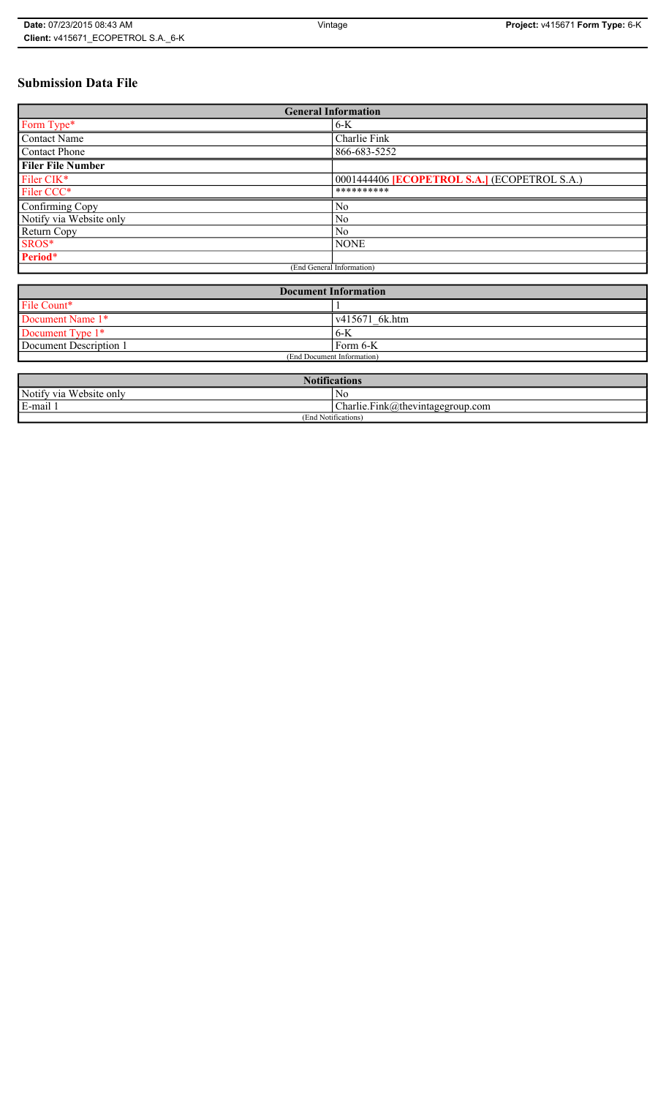# **Submission Data File**

| <b>General Information</b> |                                                     |  |
|----------------------------|-----------------------------------------------------|--|
| Form Type*                 | $6 - K$                                             |  |
| <b>Contact Name</b>        | Charlie Fink                                        |  |
| <b>Contact Phone</b>       | 866-683-5252                                        |  |
| <b>Filer File Number</b>   |                                                     |  |
| Filer CIK*                 | 0001444406 <b>[ECOPETROL S.A.]</b> (ECOPETROL S.A.) |  |
| Filer CCC*                 | **********                                          |  |
| Confirming Copy            | N <sub>0</sub>                                      |  |
| Notify via Website only    | N <sub>0</sub>                                      |  |
| Return Copy                | N <sub>0</sub>                                      |  |
| SROS*                      | <b>NONE</b>                                         |  |
| Period*                    |                                                     |  |
| (End General Information)  |                                                     |  |

| <b>Document Information</b> |                |  |
|-----------------------------|----------------|--|
| File Count*                 |                |  |
| Document Name 1*            | v415671 6k.htm |  |
| Document Type 1*            | 6-K            |  |
| Document Description 1      | ' Form 6-K     |  |
| (End Document Information)  |                |  |

| <b>Notifications</b>    |                                  |  |
|-------------------------|----------------------------------|--|
| Notify via Website only | N0                               |  |
| E-mail                  | Charlie.Fink@thevintagegroup.com |  |
| (End Notifications)     |                                  |  |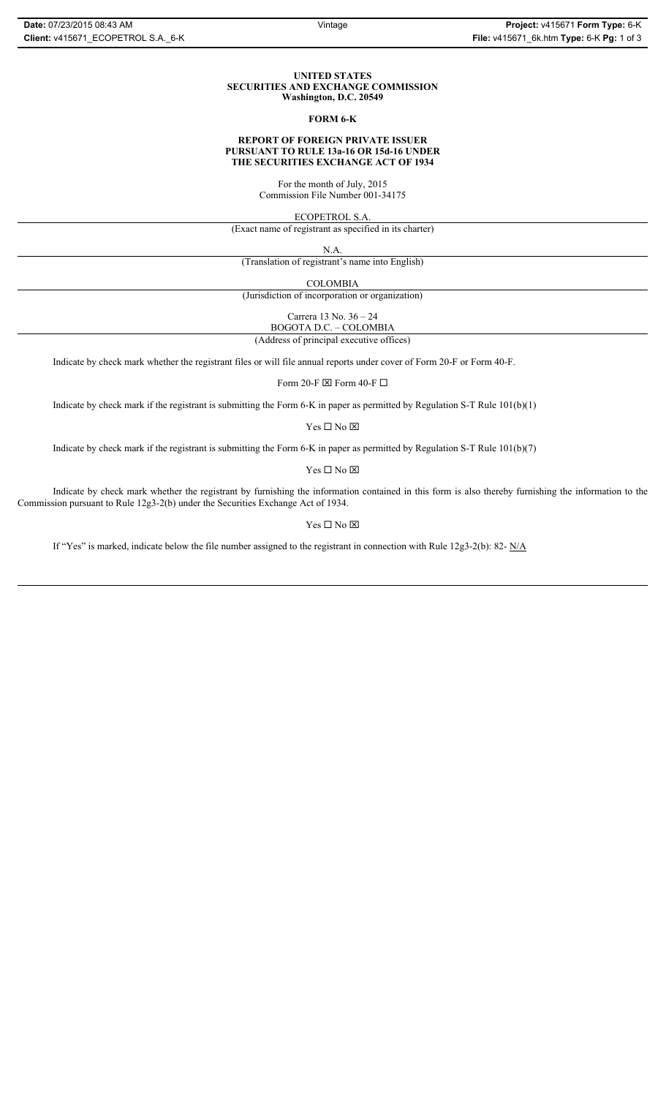#### **UNITED STATES SECURITIES AND EXCHANGE COMMISSION Washington, D.C. 20549**

#### **FORM 6-K**

# **REPORT OF FOREIGN PRIVATE ISSUER PURSUANT TO RULE 13a-16 OR 15d-16 UNDER THE SECURITIES EXCHANGE ACT OF 1934**

For the month of July, 2015 Commission File Number 001-34175

ECOPETROL S.A.

(Exact name of registrant as specified in its charter)

N.A.

(Translation of registrant's name into English)

COLOMBIA

(Jurisdiction of incorporation or organization)

Carrera 13 No. 36 – 24

BOGOTA D.C. – COLOMBIA (Address of principal executive offices)

Indicate by check mark whether the registrant files or will file annual reports under cover of Form 20-F or Form 40-F.

Form 20-F  $\boxtimes$  Form 40-F  $\Box$ 

Indicate by check mark if the registrant is submitting the Form 6-K in paper as permitted by Regulation S-T Rule 101(b)(1)

 $Yes \Box No \boxtimes$ 

Indicate by check mark if the registrant is submitting the Form 6-K in paper as permitted by Regulation S-T Rule 101(b)(7)

 $\mathbf{Y}\mathbf{es} \ \Box \ \mathbf{No} \ \overline{\mathbf{\mathbf{\Xi}}}$ 

Indicate by check mark whether the registrant by furnishing the information contained in this form is also thereby furnishing the information to the Commission pursuant to Rule 12g3-2(b) under the Securities Exchange Act of 1934.

# $Yes \Box No \boxtimes$

If "Yes" is marked, indicate below the file number assigned to the registrant in connection with Rule 12g3-2(b): 82-  $N/A$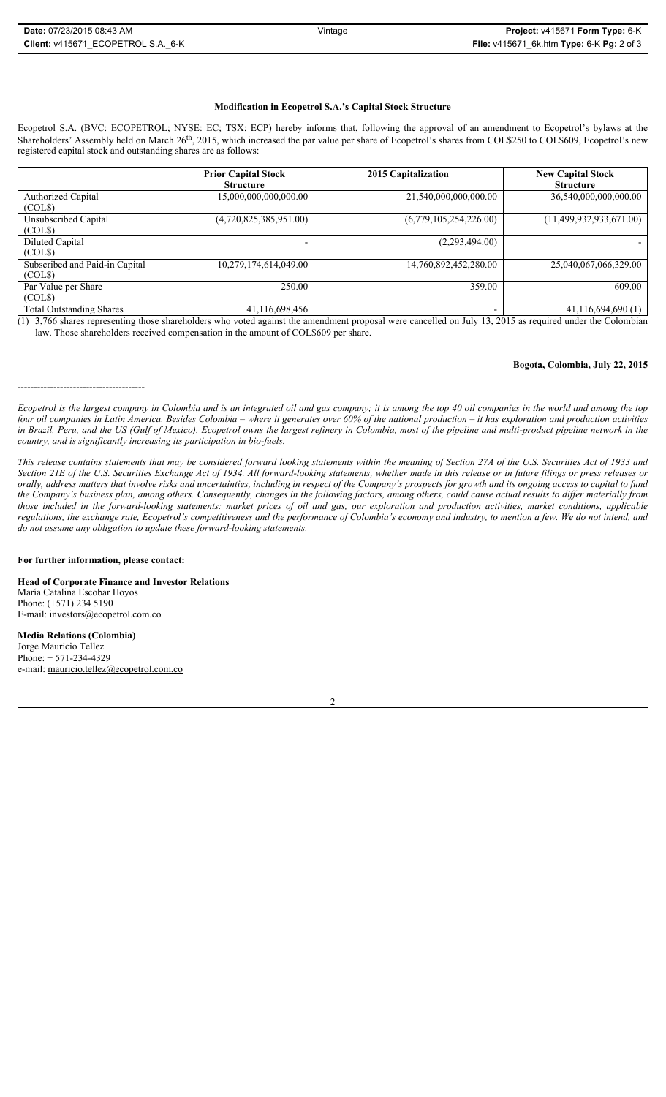## **Modification in Ecopetrol S.A.'s Capital Stock Structure**

Ecopetrol S.A. (BVC: ECOPETROL; NYSE: EC; TSX: ECP) hereby informs that, following the approval of an amendment to Ecopetrol's bylaws at the Shareholders' Assembly held on March 26<sup>th</sup>, 2015, which increased the par value per share of Ecopetrol's shares from COL\$250 to COL\$609, Ecopetrol's new registered capital stock and outstanding shares are as follows:

|                                          | <b>Prior Capital Stock</b><br><b>Structure</b> | 2015 Capitalization    | <b>New Capital Stock</b><br><b>Structure</b> |
|------------------------------------------|------------------------------------------------|------------------------|----------------------------------------------|
| Authorized Capital<br>(COLS)             | 15,000,000,000,000.00                          | 21,540,000,000,000.00  | 36,540,000,000,000.00                        |
| Unsubscribed Capital<br>(COLS)           | (4,720,825,385,951.00)                         | (6,779,105,254,226.00) | (11,499,932,933,671.00)                      |
| <b>Diluted Capital</b><br>(COLS)         | $\overline{\phantom{0}}$                       | (2,293,494.00)         |                                              |
| Subscribed and Paid-in Capital<br>(COLS) | 10,279,174,614,049.00                          | 14,760,892,452,280.00  | 25,040,067,066,329.00                        |
| Par Value per Share<br>(COLS)            | 250.00                                         | 359.00                 | 609.00                                       |
| <b>Total Outstanding Shares</b>          | 41,116,698,456                                 |                        | 41,116,694,690(1)                            |

 $(1)$  3,766 shares representing those shareholders who voted against the amendment proposal were cancelled on July 13, 2015 as required under the Colombian law. Those shareholders received compensation in the amount of COL\$609 per share.

#### **Bogota, Colombia, July 22, 2015**

*Ecopetrol is the largest company in Colombia and is an integrated oil and gas company; it is among the top 40 oil companies in the world and among the top four oil companies in Latin America. Besides Colombia – where it generates over 60% of the national production – it has exploration and production activities in Brazil, Peru, and the US (Gulf of Mexico). Ecopetrol owns the largest refinery in Colombia, most of the pipeline and multi-product pipeline network in the country, and is significantly increasing its participation in bio-fuels.* 

*This release contains statements that may be considered forward looking statements within the meaning of Section 27A of the U.S. Securities Act of 1933 and Section 21E of the U.S. Securities Exchange Act of 1934. All forward-looking statements, whether made in this release or in future filings or press releases or orally, address matters that involve risks and uncertainties, including in respect of the Company's prospects for growth and its ongoing access to capital to fund the Company's business plan, among others. Consequently, changes in the following factors, among others, could cause actual results to differ materially from those included in the forward-looking statements: market prices of oil and gas, our exploration and production activities, market conditions, applicable regulations, the exchange rate, Ecopetrol's competitiveness and the performance of Colombia's economy and industry, to mention a few. We do not intend, and do not assume any obligation to update these forward-looking statements.*

#### **For further information, please contact:**

---------------------------------------

**Head of Corporate Finance and Investor Relations** María Catalina Escobar Hoyos Phone: (+571) 234 5190 E-mail: investors@ecopetrol.com.co

**Media Relations (Colombia)**  Jorge Mauricio Tellez Phone: + 571-234-4329 e-mail: mauricio.tellez@ecopetrol.com.co

2